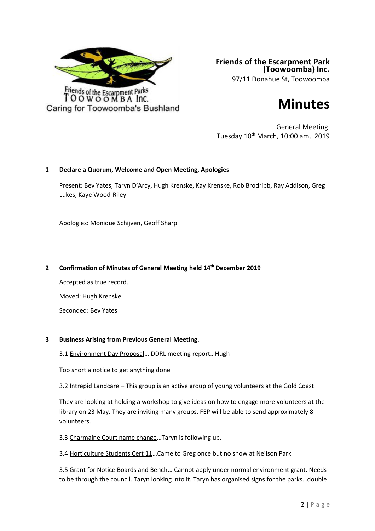

**Friends of the Escarpment Park (Toowoomba) Inc.** 97/11 Donahue St, Toowoomba

# **Minutes**

General Meeting Tuesday 10th March, 10:00 am, 2019

# **1 Declare a Quorum, Welcome and Open Meeting, Apologies**

Present: Bev Yates, Taryn D'Arcy, Hugh Krenske, Kay Krenske, Rob Brodribb, Ray Addison, Greg Lukes, Kaye Wood-Riley

Apologies: Monique Schijven, Geoff Sharp

# **2 Confirmation of Minutes of General Meeting held 14th December 2019**

Accepted as true record. Moved: Hugh Krenske Seconded: Bev Yates

# **3 Business Arising from Previous General Meeting**.

3.1 Environment Day Proposal… DDRL meeting report…Hugh

Too short a notice to get anything done

3.2 Intrepid Landcare – This group is an active group of young volunteers at the Gold Coast.

They are looking at holding a workshop to give ideas on how to engage more volunteers at the library on 23 May. They are inviting many groups. FEP will be able to send approximately 8 volunteers.

3.3 Charmaine Court name change…Taryn is following up.

3.4 Horticulture Students Cert 11…Came to Greg once but no show at Neilson Park

3.5 Grant for Notice Boards and Bench… Cannot apply under normal environment grant. Needs to be through the council. Taryn looking into it. Taryn has organised signs for the parks…double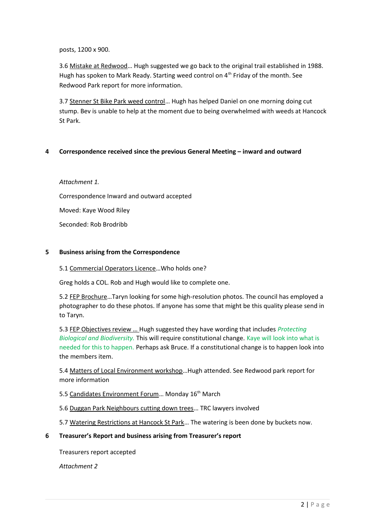# posts, 1200 x 900.

3.6 Mistake at Redwood… Hugh suggested we go back to the original trail established in 1988. Hugh has spoken to Mark Ready. Starting weed control on 4<sup>th</sup> Friday of the month. See Redwood Park report for more information.

3.7 Stenner St Bike Park weed control... Hugh has helped Daniel on one morning doing cut stump. Bev is unable to help at the moment due to being overwhelmed with weeds at Hancock St Park.

# **4 Correspondence received since the previous General Meeting – inward and outward**

# *Attachment 1.*

Correspondence Inward and outward accepted

Moved: Kaye Wood Riley

Seconded: Rob Brodribb

# **5 Business arising from the Correspondence**

# 5.1 Commercial Operators Licence…Who holds one?

Greg holds a COL. Rob and Hugh would like to complete one.

5.2 FEP Brochure…Taryn looking for some high-resolution photos. The council has employed a photographer to do these photos. If anyone has some that might be this quality please send in to Taryn.

5.3 FEP Objectives review … Hugh suggested they have wording that includes *Protecting Biological and Biodiversity.* This will require constitutional change. Kaye will look into what is needed for this to happen. Perhaps ask Bruce. If a constitutional change is to happen look into the members item.

5.4 Matters of Local Environment workshop…Hugh attended. See Redwood park report for more information

5.5 Candidates Environment Forum... Monday 16<sup>th</sup> March

5.6 Duggan Park Neighbours cutting down trees… TRC lawyers involved

5.7 Watering Restrictions at Hancock St Park… The watering is been done by buckets now.

# **6 Treasurer's Report and business arising from Treasurer's report**

Treasurers report accepted

*Attachment 2*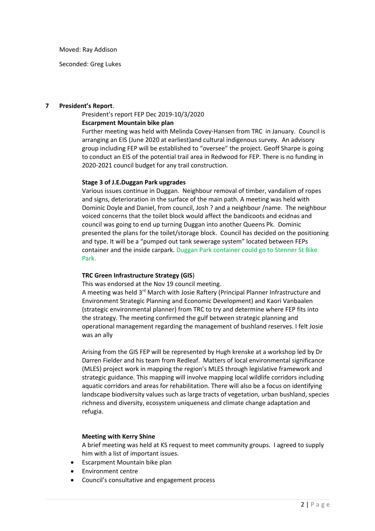Moved: Ray Addison

Seconded: Greg Lukes

#### **7 President's Report**.

#### President's report FEP Dec 2019-10/3/2020

#### **Escarpment Mountain bike plan**

Further meeting was held with Melinda Covey-Hansen from TRC in January. Council is arranging an EIS (June 2020 at earliest)and cultural indigenous survey. An advisory group including FEP will be established to "oversee" the project. Geoff Sharpe is going to conduct an EIS of the potential trail area in Redwood for FEP. There is no funding in 2020-2021 council budget for any trail construction.

#### **Stage 3 of J.E.Duggan Park upgrades**

Various issues continue in Duggan. Neighbour removal of timber, vandalism of ropes and signs, deterioration in the surface of the main path. A meeting was held with Dominic Doyle and Daniel, from council, Josh ? and a neighbour /name. The neighbour voiced concerns that the toilet block would affect the bandicoots and ecidnas and council was going to end up turning Duggan into another Queens Pk. Dominic presented the plans for the toilet/storage block. Council has decided on the positioning and type. It will be a "pumped out tank sewerage system" located between FEPs container and the inside carpark. Duggan Park container could go to Stenner St Bike Park.

# **TRC Green Infrastructure Strategy (GIS**)

This was endorsed at the Nov 19 council meeting.

A meeting was held  $3^{rd}$  March with Josie Raftery (Principal Planner Infrastructure and Environment Strategic Planning and Economic Development) and Kaori Vanbaalen (strategic environmental planner) from TRC to try and determine where FEP fits into the strategy. The meeting confirmed the gulf between strategic planning and operational management regarding the management of bushland reserves. I felt Josie was an ally

Arising from the GIS FEP will be represented by Hugh krenske at a workshop led by Dr Darren Fielder and his team from Redleaf. Matters of local environmental significance (MLES) project work in mapping the region's MLES through legislative framework and strategic guidance. This mapping will involve mapping local wildlife corridors including aquatic corridors and areas for rehabilitation. There will also be a focus on identifying landscape biodiversity values such as large tracts of vegetation, urban bushland, species richness and diversity, ecosystem uniqueness and climate change adaptation and refugia.

# **Meeting with Kerry Shine**

A brief meeting was held at KS request to meet community groups. I agreed to supply him with a list of important issues.

- Escarpment Mountain bike plan
- Environment centre
- Council's consultative and engagement process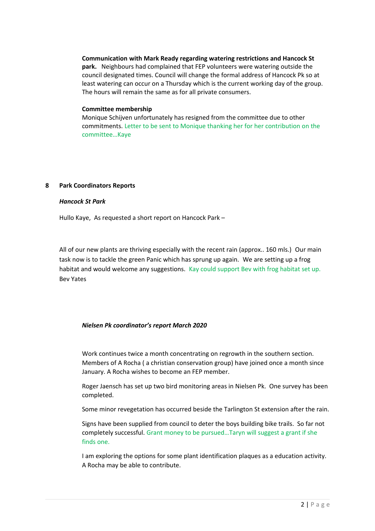**Communication with Mark Ready regarding watering restrictions and Hancock St park.** Neighbours had complained that FEP volunteers were watering outside the council designated times. Council will change the formal address of Hancock Pk so at least watering can occur on a Thursday which is the current working day of the group. The hours will remain the same as for all private consumers.

#### **Committee membership**

Monique Schijven unfortunately has resigned from the committee due to other commitments. Letter to be sent to Monique thanking her for her contribution on the committee…Kaye

# **8 Park Coordinators Reports**

#### *Hancock St Park*

Hullo Kaye, As requested a short report on Hancock Park –

All of our new plants are thriving especially with the recent rain (approx.. 160 mls.) Our main task now is to tackle the green Panic which has sprung up again. We are setting up a frog habitat and would welcome any suggestions. Kay could support Bev with frog habitat set up. Bev Yates

# *Nielsen Pk coordinator's report March 2020*

Work continues twice a month concentrating on regrowth in the southern section. Members of A Rocha ( a christian conservation group) have joined once a month since January. A Rocha wishes to become an FEP member.

Roger Jaensch has set up two bird monitoring areas in Nielsen Pk. One survey has been completed.

Some minor revegetation has occurred beside the Tarlington St extension after the rain.

Signs have been supplied from council to deter the boys building bike trails. So far not completely successful. Grant money to be pursued…Taryn will suggest a grant if she finds one.

I am exploring the options for some plant identification plaques as a education activity. A Rocha may be able to contribute.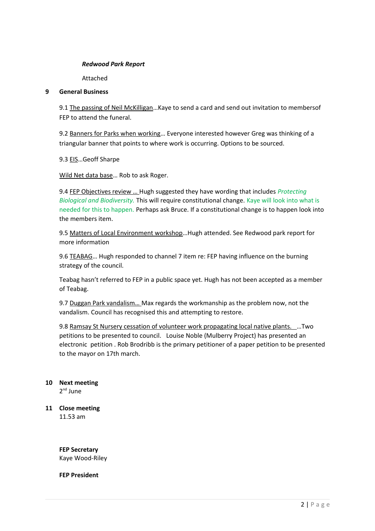# *Redwood Park Report*

Attached

# **9 General Business**

9.1 The passing of Neil McKilligan…Kaye to send a card and send out invitation to membersof FEP to attend the funeral.

9.2 Banners for Parks when working… Everyone interested however Greg was thinking of a triangular banner that points to where work is occurring. Options to be sourced.

9.3 EIS...Geoff Sharpe

Wild Net data base… Rob to ask Roger.

9.4 FEP Objectives review … Hugh suggested they have wording that includes *Protecting Biological and Biodiversity.* This will require constitutional change. Kaye will look into what is needed for this to happen. Perhaps ask Bruce. If a constitutional change is to happen look into the members item.

9.5 Matters of Local Environment workshop... Hugh attended. See Redwood park report for more information

9.6 TEABAG... Hugh responded to channel 7 item re: FEP having influence on the burning strategy of the council.

Teabag hasn't referred to FEP in a public space yet. Hugh has not been accepted as a member of Teabag.

9.7 Duggan Park vandalism... Max regards the workmanship as the problem now, not the vandalism. Council has recognised this and attempting to restore.

9.8 Ramsay St Nursery cessation of volunteer work propagating local native plants. …Two petitions to be presented to council. Louise Noble (Mulberry Project) has presented an electronic petition . Rob Brodribb is the primary petitioner of a paper petition to be presented to the mayor on 17th march.

# **10 Next meeting**

2<sup>nd</sup> June

**11 Close meeting** 11.53 am

> **FEP Secretary** Kaye Wood-Riley

**FEP President**